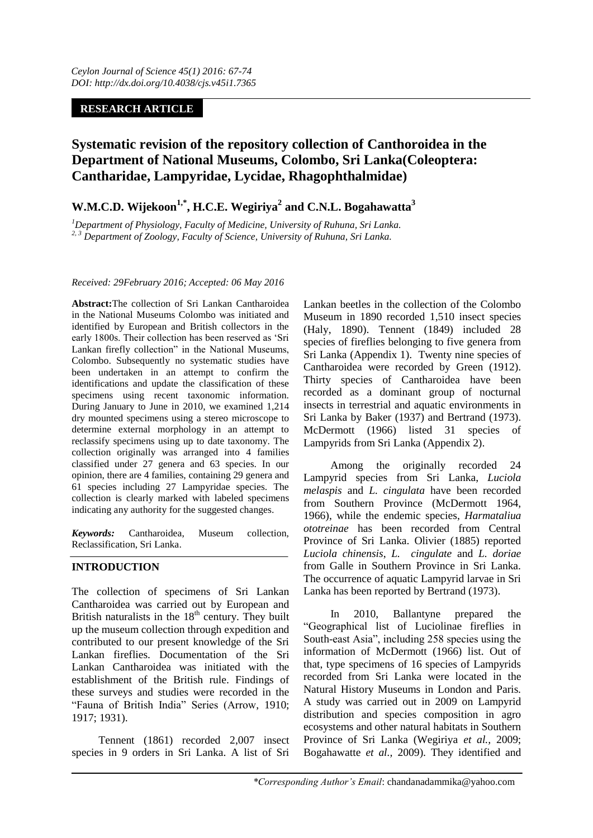## **RESEARCH ARTICLE**

# **Systematic revision of the repository collection of Canthoroidea in the Department of National Museums, Colombo, Sri Lanka(Coleoptera: Cantharidae, Lampyridae, Lycidae, Rhagophthalmidae)**

# **W.M.C.D. Wijekoon1,\*, H.C.E. Wegiriya<sup>2</sup> and C.N.L. Bogahawatta<sup>3</sup>**

*<sup>1</sup>Department of Physiology, Faculty of Medicine, University of Ruhuna, Sri Lanka. 2, 3 Department of Zoology, Faculty of Science, University of Ruhuna, Sri Lanka.*

#### *Received: 29February 2016; Accepted: 06 May 2016*

**Abstract:**The collection of Sri Lankan Cantharoidea in the National Museums Colombo was initiated and identified by European and British collectors in the early 1800s. Their collection has been reserved as "Sri Lankan firefly collection" in the National Museums, Colombo. Subsequently no systematic studies have been undertaken in an attempt to confirm the identifications and update the classification of these specimens using recent taxonomic information. During January to June in 2010, we examined 1,214 dry mounted specimens using a stereo microscope to determine external morphology in an attempt to reclassify specimens using up to date taxonomy. The collection originally was arranged into 4 families classified under 27 genera and 63 species. In our opinion, there are 4 families, containing 29 genera and 61 species including 27 Lampyridae species. The collection is clearly marked with labeled specimens indicating any authority for the suggested changes.

*Keywords:* Cantharoidea, Museum collection, Reclassification, Sri Lanka.

#### **INTRODUCTION**

The collection of specimens of Sri Lankan Cantharoidea was carried out by European and British naturalists in the  $18<sup>th</sup>$  century. They built up the museum collection through expedition and contributed to our present knowledge of the Sri Lankan fireflies. Documentation of the Sri Lankan Cantharoidea was initiated with the establishment of the British rule. Findings of these surveys and studies were recorded in the "Fauna of British India" Series (Arrow, 1910; 1917; 1931).

Tennent (1861) recorded 2,007 insect species in 9 orders in Sri Lanka. A list of Sri Lankan beetles in the collection of the Colombo Museum in 1890 recorded 1,510 insect species (Haly, 1890). Tennent (1849) included 28 species of fireflies belonging to five genera from Sri Lanka (Appendix 1). Twenty nine species of Cantharoidea were recorded by Green (1912). Thirty species of Cantharoidea have been recorded as a dominant group of nocturnal insects in terrestrial and aquatic environments in Sri Lanka by Baker (1937) and Bertrand (1973). McDermott (1966) listed 31 species of Lampyrids from Sri Lanka (Appendix 2).

Among the originally recorded 24 Lampyrid species from Sri Lanka, *Luciola melaspis* and *L. cingulata* have been recorded from Southern Province (McDermott 1964, 1966), while the endemic species, *Harmataliua ototreinae* has been recorded from Central Province of Sri Lanka. Olivier (1885) reported *Luciola chinensis*, *L. cingulate* and *L. doriae* from Galle in Southern Province in Sri Lanka. The occurrence of aquatic Lampyrid larvae in Sri Lanka has been reported by Bertrand (1973).

In 2010, Ballantyne prepared the "Geographical list of Luciolinae fireflies in South-east Asia", including 258 species using the information of McDermott (1966) list. Out of that, type specimens of 16 species of Lampyrids recorded from Sri Lanka were located in the Natural History Museums in London and Paris. A study was carried out in 2009 on Lampyrid distribution and species composition in agro ecosystems and other natural habitats in Southern Province of Sri Lanka (Wegiriya *et al.,* 2009; Bogahawatte *et al.,* 2009). They identified and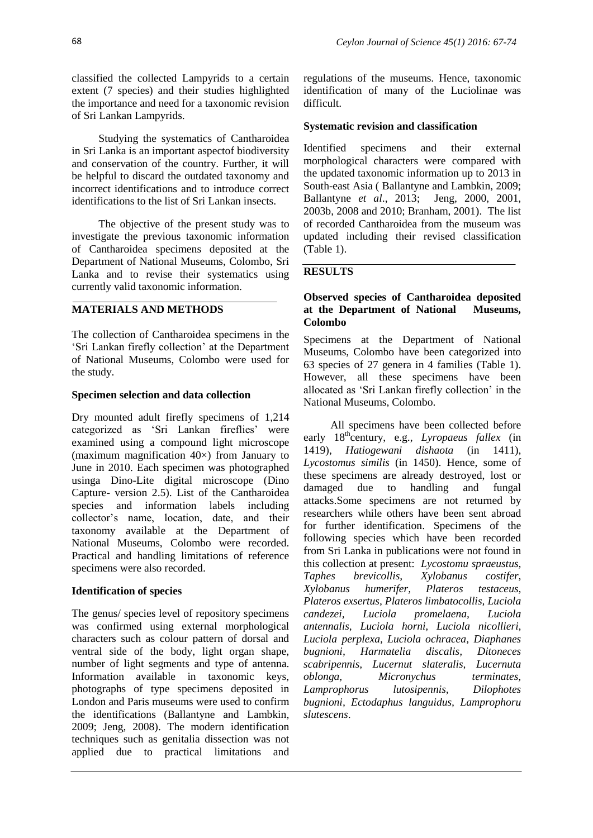classified the collected Lampyrids to a certain extent (7 species) and their studies highlighted the importance and need for a taxonomic revision of Sri Lankan Lampyrids.

Studying the systematics of Cantharoidea in Sri Lanka is an important aspectof biodiversity and conservation of the country. Further, it will be helpful to discard the outdated taxonomy and incorrect identifications and to introduce correct identifications to the list of Sri Lankan insects.

The objective of the present study was to investigate the previous taxonomic information of Cantharoidea specimens deposited at the Department of National Museums, Colombo, Sri Lanka and to revise their systematics using currently valid taxonomic information.

### **MATERIALS AND METHODS**

The collection of Cantharoidea specimens in the "Sri Lankan firefly collection" at the Department of National Museums, Colombo were used for the study.

#### **Specimen selection and data collection**

Dry mounted adult firefly specimens of 1,214 categorized as 'Sri Lankan fireflies' were examined using a compound light microscope (maximum magnification  $40\times$ ) from January to June in 2010. Each specimen was photographed usinga Dino-Lite digital microscope (Dino Capture- version 2.5). List of the Cantharoidea species and information labels including collector"s name, location, date, and their taxonomy available at the Department of National Museums, Colombo were recorded. Practical and handling limitations of reference specimens were also recorded.

#### **Identification of species**

The genus/ species level of repository specimens was confirmed using external morphological characters such as colour pattern of dorsal and ventral side of the body, light organ shape, number of light segments and type of antenna. Information available in taxonomic keys, photographs of type specimens deposited in London and Paris museums were used to confirm the identifications (Ballantyne and Lambkin, 2009; Jeng, 2008). The modern identification techniques such as genitalia dissection was not applied due to practical limitations and

regulations of the museums. Hence, taxonomic identification of many of the Luciolinae was difficult.

### **Systematic revision and classification**

Identified specimens and their external morphological characters were compared with the updated taxonomic information up to 2013 in South-east Asia ( Ballantyne and Lambkin, 2009; Ballantyne *et al*., 2013; Jeng, 2000, 2001, 2003b, 2008 and 2010; Branham, 2001). The list of recorded Cantharoidea from the museum was updated including their revised classification (Table 1).

## **RESULTS**

### **Observed species of Cantharoidea deposited at the Department of National Museums, Colombo**

Specimens at the Department of National Museums, Colombo have been categorized into 63 species of 27 genera in 4 families (Table 1). However, all these specimens have been allocated as "Sri Lankan firefly collection" in the National Museums, Colombo.

All specimens have been collected before early 18<sup>th</sup>century, e.g., *Lyropaeus fallex* (in 1419), *Hatiogewani dishaota* (in 1411), *Lycostomus similis* (in 1450). Hence, some of these specimens are already destroyed, lost or damaged due to handling and fungal attacks.Some specimens are not returned by researchers while others have been sent abroad for further identification. Specimens of the following species which have been recorded from Sri Lanka in publications were not found in this collection at present: *Lycostomu spraeustus, Taphes brevicollis, Xylobanus costifer, Xylobanus humerifer, Plateros testaceus, Plateros exsertus, Plateros limbatocollis, Luciola candezei, Luciola promelaena, Luciola antennalis, Luciola horni, Luciola nicollieri, Luciola perplexa, Luciola ochracea, Diaphanes bugnioni, Harmatelia discalis, Ditoneces scabripennis, Lucernut slateralis, Lucernuta oblonga, Micronychus terminates, Lamprophorus lutosipennis, Dilophotes bugnioni, Ectodaphus languidus, Lamprophoru slutescens*.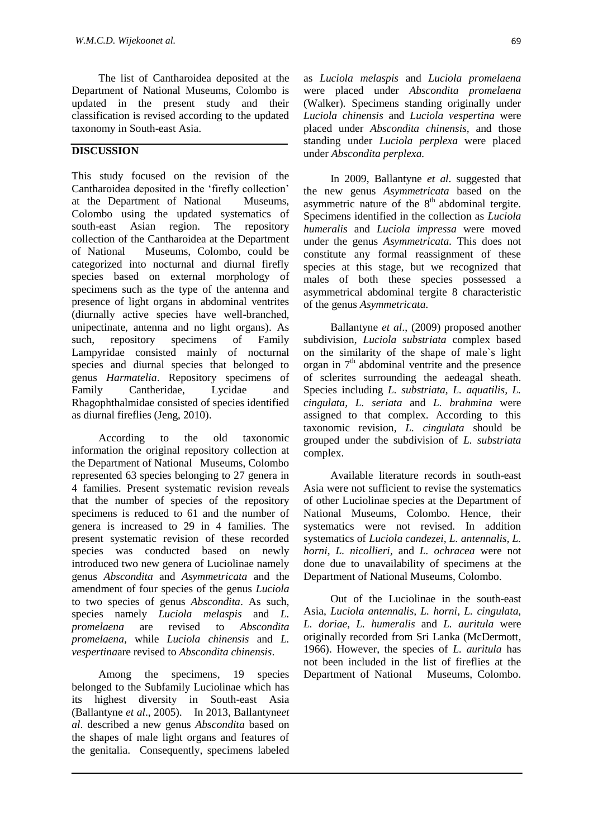The list of Cantharoidea deposited at the Department of National Museums, Colombo is updated in the present study and their classification is revised according to the updated taxonomy in South-east Asia.

### **DISCUSSION**

This study focused on the revision of the Cantharoidea deposited in the "firefly collection" at the Department of National Museums, Colombo using the updated systematics of south-east Asian region. The repository collection of the Cantharoidea at the Department of National Museums, Colombo, could be categorized into nocturnal and diurnal firefly species based on external morphology of specimens such as the type of the antenna and presence of light organs in abdominal ventrites (diurnally active species have well-branched, unipectinate, antenna and no light organs). As such, repository specimens of Family Lampyridae consisted mainly of nocturnal species and diurnal species that belonged to genus *Harmatelia*. Repository specimens of Family Cantheridae, Lycidae and Rhagophthalmidae consisted of species identified as diurnal fireflies (Jeng, 2010).

According to the old taxonomic information the original repository collection at the Department of National Museums, Colombo represented 63 species belonging to 27 genera in 4 families. Present systematic revision reveals that the number of species of the repository specimens is reduced to 61 and the number of genera is increased to 29 in 4 families. The present systematic revision of these recorded species was conducted based on newly introduced two new genera of Luciolinae namely genus *Abscondita* and *Asymmetricata* and the amendment of four species of the genus *Luciola* to two species of genus *Abscondita*. As such, species namely *Luciola melaspis* and *L. promelaena* are revised to *Abscondita promelaena,* while *Luciola chinensis* and *L. vespertina*are revised to *Abscondita chinensis*.

Among the specimens, 19 species belonged to the Subfamily Luciolinae which has its highest diversity in South-east Asia (Ballantyne *et al*., 2005). In 2013, Ballantyne*et al*. described a new genus *Abscondita* based on the shapes of male light organs and features of the genitalia. Consequently, specimens labeled

as *Luciola melaspis* and *Luciola promelaena* were placed under *Abscondita promelaena* (Walker)*.* Specimens standing originally under *Luciola chinensis* and *Luciola vespertina* were placed under *Abscondita chinensis,* and those standing under *Luciola perplexa* were placed under *Abscondita perplexa.*

In 2009, Ballantyne *et al*. suggested that the new genus *Asymmetricata* based on the asymmetric nature of the  $8<sup>th</sup>$  abdominal tergite. Specimens identified in the collection as *Luciola humeralis* and *Luciola impressa* were moved under the genus *Asymmetricata.* This does not constitute any formal reassignment of these species at this stage, but we recognized that males of both these species possessed a asymmetrical abdominal tergite 8 characteristic of the genus *Asymmetricata*.

Ballantyne *et al*., (2009) proposed another subdivision, *Luciola substriata* complex based on the similarity of the shape of male`s light organ in  $7<sup>th</sup>$  abdominal ventrite and the presence of sclerites surrounding the aedeagal sheath. Species including *L. substriata, L. aquatilis, L. cingulata, L. seriata* and *L. brahmina* were assigned to that complex. According to this taxonomic revision, *L. cingulata* should be grouped under the subdivision of *L. substriata* complex.

Available literature records in south-east Asia were not sufficient to revise the systematics of other Luciolinae species at the Department of National Museums, Colombo. Hence, their systematics were not revised. In addition systematics of *Luciola candezei, L. antennalis, L. horni, L. nicollieri,* and *L. ochracea* were not done due to unavailability of specimens at the Department of National Museums, Colombo.

Out of the Luciolinae in the south-east Asia, *Luciola antennalis, L. horni, L. cingulata, L. doriae, L. humeralis* and *L. auritula* were originally recorded from Sri Lanka (McDermott, 1966). However, the species of *L. auritula* has not been included in the list of fireflies at the Department of National Museums, Colombo.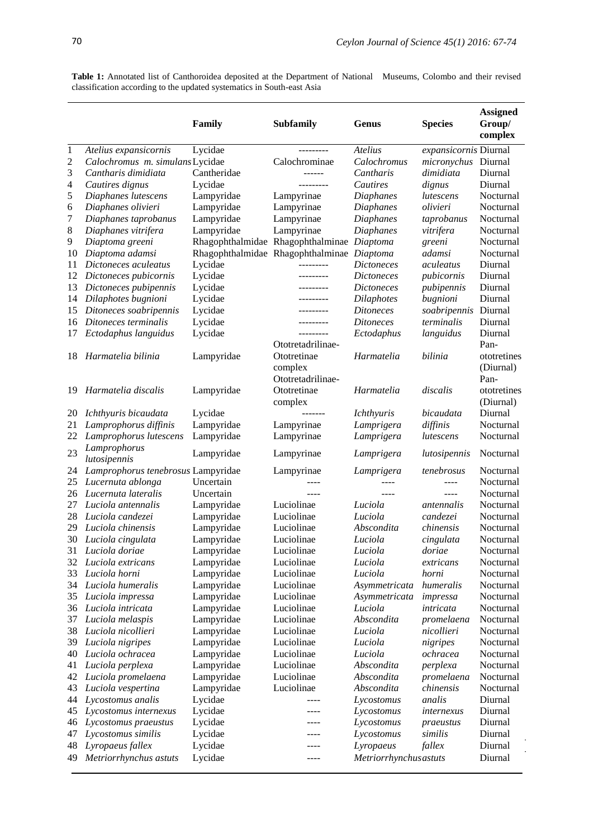l.

| classification according to the updated systematics in South-east Asia |                                 |                  |                                   |                                     |                       |                                      |
|------------------------------------------------------------------------|---------------------------------|------------------|-----------------------------------|-------------------------------------|-----------------------|--------------------------------------|
|                                                                        |                                 | Family           | <b>Subfamily</b>                  | Genus                               | <b>Species</b>        | <b>Assigned</b><br>Group/<br>complex |
| $\mathbf{1}$                                                           | Atelius expansicornis           | Lycidae          | ---------                         | <b>Atelius</b>                      | expansicornis Diurnal |                                      |
| $\overline{c}$                                                         | Calochromus m. simulans Lycidae |                  | Calochrominae                     | Calochromus                         | micronychus Diurnal   |                                      |
| 3                                                                      | Cantharis dimidiata             | Cantheridae      |                                   | Cantharis                           | dimidiata             | Diurnal                              |
| 4                                                                      | Cautires dignus                 | Lycidae          | .                                 | <b>Cautires</b>                     | dignus                | Diurnal                              |
| 5                                                                      | Diaphanes lutescens             | Lampyridae       | Lampyrinae                        | Diaphanes                           | lutescens             | Nocturnal                            |
| 6                                                                      | Diaphanes olivieri              | Lampyridae       | Lampyrinae                        | Diaphanes                           | olivieri              | Nocturnal                            |
| 7                                                                      | Diaphanes taprobanus            | Lampyridae       | Lampyrinae                        | Diaphanes                           | taprobanus            | Nocturnal                            |
| 8                                                                      | Diaphanes vitrifera             | Lampyridae       | Lampyrinae                        | <b>Diaphanes</b>                    | vitrifera             | Nocturnal                            |
| 9                                                                      | Diaptoma greeni                 | Rhagophthalmidae | Rhagophthalminae                  | Diaptoma                            | greeni                | Nocturnal                            |
| 10                                                                     | Diaptoma adamsi                 |                  | Rhagophthalmidae Rhagophthalminae | Diaptoma                            | adamsi                | Nocturnal                            |
| 11                                                                     | Dictoneces aculeatus            | Lycidae          |                                   | <i>Dictoneces</i>                   | <i>aculeatus</i>      | Diurnal                              |
| 12                                                                     | Dictoneces pubicornis           | Lycidae          | ---------                         | <i>Dictoneces</i>                   | pubicornis            | Diurnal                              |
| 13                                                                     | Dictoneces pubipennis           | Lycidae          | <u>_________</u>                  | <i>Dictoneces</i>                   | pubipennis            | Diurnal                              |
| 14                                                                     | Dilaphotes bugnioni             | Lycidae          |                                   | <i>Dilaphotes</i>                   | bugnioni              | Diurnal                              |
| 15                                                                     | Ditoneces soabripennis          | Lycidae          |                                   | <i>Ditoneces</i>                    | soabripennis          | Diurnal                              |
| 16                                                                     | Ditoneces terminalis            | Lycidae          | ---------                         | <i>Ditoneces</i>                    | terminalis            | Diurnal                              |
| 17                                                                     | Ectodaphus languidus            | Lycidae          | ---------                         | Ectodaphus                          | languidus             | Diurnal                              |
|                                                                        |                                 |                  | Ototretadrilinae-                 |                                     |                       | Pan-                                 |
| 18                                                                     | Harmatelia bilinia              | Lampyridae       | Ototretinae                       | Harmatelia                          | bilinia               | ototretines                          |
|                                                                        |                                 |                  | complex                           |                                     |                       | (Diurnal)                            |
|                                                                        |                                 |                  | Ototretadrilinae-                 |                                     |                       | Pan-                                 |
|                                                                        | $10$ <i>Ugumatelia dispalis</i> | I ampunidad      | $\Omega$ totrotingo               | $\mu_{\alpha\mu\alpha\alpha\delta}$ | diagalis              | ototrotinga                          |

Table 1: Annotated list of Canthoroidea deposited at the Department of National Museums, Colombo and their revised classification according to the updated systematics in South-east Asia classification according to the updated systematics in South-east Asia

|    | 12 Dictoneces pubicornis           | Lycidae    | ---------         | <i>Dictoneces</i> | pubicornis           | Diurnal     |
|----|------------------------------------|------------|-------------------|-------------------|----------------------|-------------|
| 13 | Dictoneces pubipennis              | Lycidae    | ---------         | <i>Dictoneces</i> | pubipennis           | Diurnal     |
| 14 | Dilaphotes bugnioni                | Lycidae    | ---------         | <b>Dilaphotes</b> | bugnioni             | Diurnal     |
| 15 | Ditoneces soabripennis             | Lycidae    | ---------         | <b>Ditoneces</b>  | soabripennis Diurnal |             |
|    | 16 Ditoneces terminalis            | Lycidae    | ---------         | <b>Ditoneces</b>  | terminalis           | Diurnal     |
| 17 | Ectodaphus languidus               | Lycidae    | ---------         | Ectodaphus        | languidus            | Diurnal     |
|    |                                    |            | Ototretadrilinae- |                   |                      | Pan-        |
|    | 18 Harmatelia bilinia              | Lampyridae | Ototretinae       | Harmatelia        | bilinia              | ototretines |
|    |                                    |            | complex           |                   |                      | (Diurnal)   |
|    |                                    |            | Ototretadrilinae- |                   |                      | Pan-        |
| 19 | Harmatelia discalis                | Lampyridae | Ototretinae       | Harmatelia        | discalis             | ototretines |
|    |                                    |            | complex           |                   |                      | (Diurnal)   |
| 20 | Ichthyuris bicaudata               | Lycidae    | -------           | <i>Ichthyuris</i> | bicaudata            | Diurnal     |
| 21 | Lamprophorus diffinis              | Lampyridae | Lampyrinae        | Lamprigera        | diffinis             | Nocturnal   |
| 22 | Lamprophorus lutescens             | Lampyridae | Lampyrinae        | Lamprigera        | lutescens            | Nocturnal   |
| 23 | Lamprophorus<br>lutosipennis       | Lampyridae | Lampyrinae        | Lamprigera        | lutosipennis         | Nocturnal   |
| 24 | Lamprophorus tenebrosus Lampyridae |            | Lampyrinae        | Lamprigera        | tenebrosus           | Nocturnal   |
| 25 | Lucernuta ablonga                  | Uncertain  | $- - - -$         |                   | $- - - -$            | Nocturnal   |
|    | 26 Lucernuta lateralis             | Uncertain  | $- - - -$         | $- - - -$         | $\frac{1}{2}$        | Nocturnal   |
| 27 | Luciola antennalis                 | Lampyridae | Luciolinae        | Luciola           | antennalis           | Nocturnal   |
| 28 | Luciola candezei                   | Lampyridae | Luciolinae        | Luciola           | candezei             | Nocturnal   |
| 29 | Luciola chinensis                  | Lampyridae | Luciolinae        | Abscondita        | chinensis            | Nocturnal   |
| 30 | Luciola cingulata                  | Lampyridae | Luciolinae        | Luciola           | cingulata            | Nocturnal   |
| 31 | Luciola doriae                     | Lampyridae | Luciolinae        | Luciola           | doriae               | Nocturnal   |
|    | 32 Luciola extricans               | Lampyridae | Luciolinae        | Luciola           | extricans            | Nocturnal   |
| 33 | Luciola horni                      | Lampyridae | Luciolinae        | Luciola           | horni                | Nocturnal   |
| 34 | Luciola humeralis                  | Lampyridae | Luciolinae        | Asymmetricata     | humeralis            | Nocturnal   |
|    | 35 Luciola impressa                | Lampyridae | Luciolinae        | Asymmetricata     | impressa             | Nocturnal   |
|    | 36 Luciola intricata               | Lampyridae | Luciolinae        | Luciola           | intricata            | Nocturnal   |
| 37 | Luciola melaspis                   | Lampyridae | Luciolinae        | Abscondita        | promelaena           | Nocturnal   |
| 38 | Luciola nicollieri                 | Lampyridae | Luciolinae        | Luciola           | nicollieri           | Nocturnal   |
| 39 | Luciola nigripes                   | Lampyridae | Luciolinae        | Luciola           | nigripes             | Nocturnal   |
| 40 | Luciola ochracea                   | Lampyridae | Luciolinae        | Luciola           | ochracea             | Nocturnal   |
| 41 | Luciola perplexa                   | Lampyridae | Luciolinae        | Abscondita        | perplexa             | Nocturnal   |
| 42 | Luciola promelaena                 | Lampyridae | Luciolinae        | Abscondita        | promelaena           | Nocturnal   |
| 43 | Luciola vespertina                 | Lampyridae | Luciolinae        | Abscondita        | chinensis            | Nocturnal   |
| 44 | Lycostomus analis                  | Lycidae    | ----              | Lycostomus        | analis               | Diurnal     |
| 45 | Lycostomus internexus              | Lycidae    | $- - - -$         | Lycostomus        | internexus           | Diurnal     |
| 46 | Lycostomus praeustus               | Lycidae    | $- - - -$         | Lycostomus        | praeustus            | Diurnal     |
| 47 | Lycostomus similis                 | Lycidae    | $- - - -$         | Lycostomus        | similis              | Diurnal     |
|    | Lyropaeus fallex                   | Lycidae    | $- - -$           | Lyropaeus         | fallex               | Diurnal     |
| 48 |                                    |            |                   |                   |                      |             |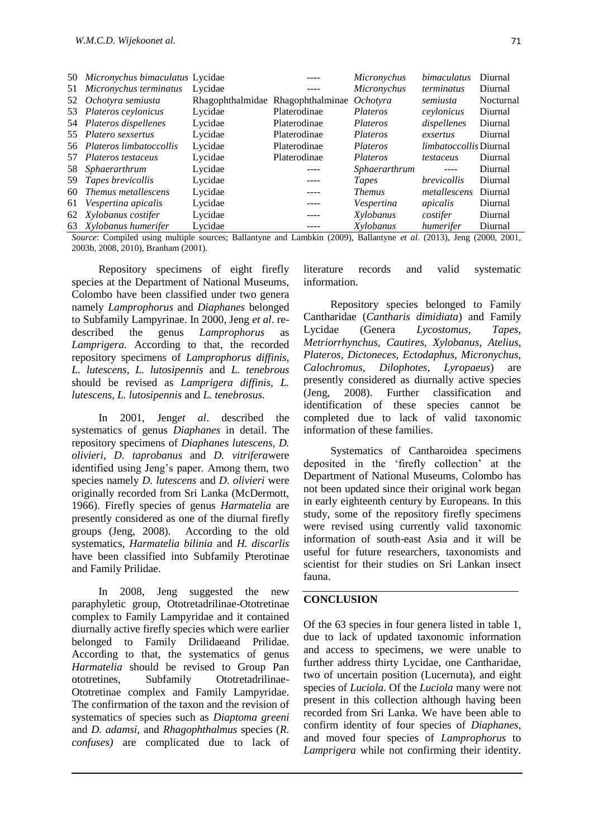|    | 50 Micronychus bimaculatus Lycidae |         |                                   | Micronychus       | bimaculatus                   | Diurnal   |
|----|------------------------------------|---------|-----------------------------------|-------------------|-------------------------------|-----------|
| 51 | Micronychus terminatus             | Lycidae |                                   | Micronychus       | <i>terminatus</i>             | Diurnal   |
|    | 52 Ochotyra semiusta               |         | Rhagophthalmidae Rhagophthalminae | <i>Ochotyra</i>   | semiusta                      | Nocturnal |
|    | 53 Plateros ceylonicus             | Lycidae | Platerodinae                      | Plateros          | ceylonicus                    | Diurnal   |
|    | 54 Plateros dispellenes            | Lycidae | Platerodinae                      | <i>Plateros</i>   | dispellenes                   | Diurnal   |
|    | 55 Platero sexsertus               | Lycidae | Platerodinae                      | Plateros          | exsertus                      | Diurnal   |
|    | 56 Plateros limbatoccollis         | Lycidae | Platerodinae                      | Plateros          | <i>limbatoccollis</i> Diurnal |           |
|    | 57 Plateros testaceus              | Lycidae | Platerodinae                      | Plateros          | testaceus                     | Diurnal   |
| 58 | Sphaerarthrum                      | Lycidae | ----                              | Sphaerarthrum     | $- - - -$                     | Diurnal   |
| 59 | Tapes brevicollis                  | Lycidae | $- - - -$                         | Tapes             | <i>brevicollis</i>            | Diurnal   |
| 60 | Themus metallescens                | Lycidae | ----                              | <b>Themus</b>     | metallescens                  | Diurnal   |
| 61 | Vespertina apicalis                | Lycidae | $- - - -$                         | <i>Vespertina</i> | apicalis                      | Diurnal   |
| 62 | Xylobanus costifer                 | Lycidae | $- - - -$                         | Xylobanus         | costifer                      | Diurnal   |
|    | 63 Xylobanus humerifer             | Lycidae |                                   | Xylobanus         | humerifer                     | Diurnal   |

*Source*: Compiled using multiple sources; Ballantyne and Lambkin (2009), Ballantyne *et al*. (2013), Jeng (2000, 2001, 2003b, 2008, 2010), Branham (2001).

Repository specimens of eight firefly species at the Department of National Museums, Colombo have been classified under two genera namely *Lamprophorus* and *Diaphanes* belonged to Subfamily Lampyrinae. In 2000, Jeng *et al*. redescribed the genus *Lamprophorus* as *Lamprigera.* According to that, the recorded repository specimens of *Lamprophorus diffinis, L. lutescens, L. lutosipennis* and *L. tenebrous*  should be revised as *Lamprigera diffinis, L. lutescens, L. lutosipennis* and *L. tenebrosus.*

In 2001, Jeng*et al*. described the systematics of genus *Diaphanes* in detail. The repository specimens of *Diaphanes lutescens, D. olivieri, D. taprobanus* and *D. vitrifera*were identified using Jeng"s paper. Among them, two species namely *D. lutescens* and *D. olivieri* were originally recorded from Sri Lanka (McDermott, 1966). Firefly species of genus *Harmatelia* are presently considered as one of the diurnal firefly groups (Jeng, 2008). According to the old systematics, *Harmatelia bilinia* and *H. discarlis* have been classified into Subfamily Pterotinae and Family Prilidae.

In 2008, Jeng suggested the new paraphyletic group, Ototretadrilinae-Ototretinae complex to Family Lampyridae and it contained diurnally active firefly species which were earlier belonged to Family Drilidaeand Prilidae. According to that, the systematics of genus *Harmatelia* should be revised to Group Pan ototretines, Subfamily Ototretadrilinae-Ototretinae complex and Family Lampyridae. The confirmation of the taxon and the revision of systematics of species such as *Diaptoma greeni* and *D. adamsi,* and *Rhagophthalmus* species (*R. confuses)* are complicated due to lack of

literature records and valid systematic information.

Repository species belonged to Family Cantharidae (*Cantharis dimidiata*) and Family Lycidae (Genera *Lycostomus, Tapes, Metriorrhynchus, Cautires, Xylobanus, Atelius, Plateros, Dictoneces, Ectodaphus, Micronychus, Calochromus, Dilophotes, Lyropaeus*) are presently considered as diurnally active species (Jeng, 2008). Further classification and identification of these species cannot be completed due to lack of valid taxonomic information of these families.

Systematics of Cantharoidea specimens deposited in the "firefly collection" at the Department of National Museums, Colombo has not been updated since their original work began in early eighteenth century by Europeans. In this study, some of the repository firefly specimens were revised using currently valid taxonomic information of south-east Asia and it will be useful for future researchers, taxonomists and scientist for their studies on Sri Lankan insect fauna.

#### **CONCLUSION**

Of the 63 species in four genera listed in table 1, due to lack of updated taxonomic information and access to specimens, we were unable to further address thirty Lycidae, one Cantharidae, two of uncertain position (Lucernuta), and eight species of *Luciola*. Of the *Luciola* many were not present in this collection although having been recorded from Sri Lanka. We have been able to confirm identity of four species of *Diaphanes*, and moved four species of *Lamprophorus* to *Lamprigera* while not confirming their identity.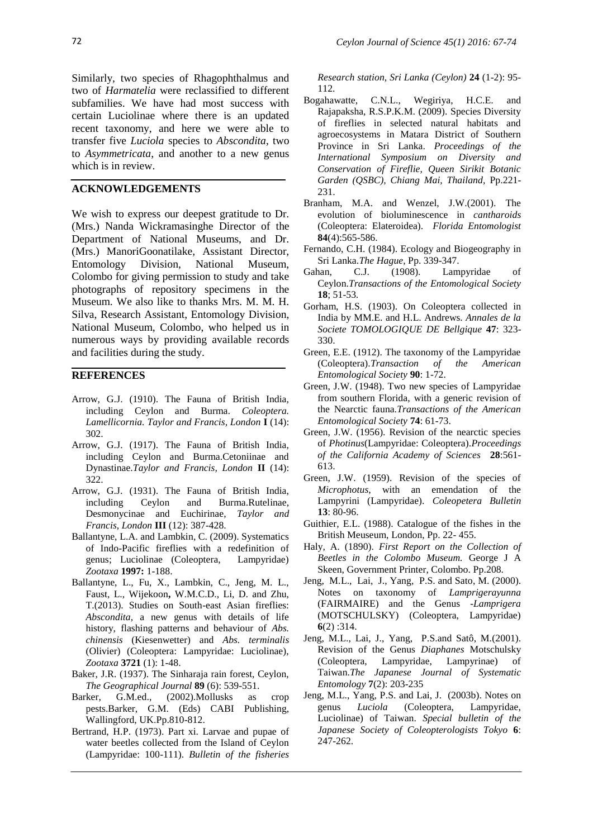Similarly, two species of Rhagophthalmus and two of *Harmatelia* were reclassified to different subfamilies. We have had most success with certain Luciolinae where there is an updated recent taxonomy, and here we were able to transfer five *Luciola* species to *Abscondita*, two to *Asymmetricata*, and another to a new genus which is in review.

#### **ACKNOWLEDGEMENTS**

We wish to express our deepest gratitude to Dr. (Mrs.) Nanda Wickramasinghe Director of the Department of National Museums, and Dr. (Mrs.) ManoriGoonatilake, Assistant Director, Entomology Division, National Museum, Colombo for giving permission to study and take photographs of repository specimens in the Museum. We also like to thanks Mrs. M. M. H. Silva, Research Assistant, Entomology Division, National Museum, Colombo, who helped us in numerous ways by providing available records and facilities during the study.

#### **REFERENCES**

- Arrow, G.J. (1910). The Fauna of British India, including Ceylon and Burma. *Coleoptera. Lamellicornia. Taylor and Francis, London* **I** (14): 302.
- Arrow, G.J. (1917). The Fauna of British India, including Ceylon and Burma.Cetoniinae and Dynastinae.*Taylor and Francis, London* **II** (14): 322.
- Arrow, G.J. (1931). The Fauna of British India, including Ceylon and Burma.Rutelinae, Desmonycinae and Euchirinae, *Taylor and Francis, London* **III** (12): 387-428.
- Ballantyne, L.A. and Lambkin, C. (2009). Systematics of Indo-Pacific fireflies with a redefinition of genus; Luciolinae (Coleoptera, Lampyridae) *Zootaxa* **1997:** 1-188.
- Ballantyne, L., Fu, X., Lambkin, C., Jeng, M. L., Faust, L., Wijekoon**,** W.M.C.D., Li, D. and Zhu, T.(2013). Studies on South-east Asian fireflies: *Abscondita,* a new genus with details of life history, flashing patterns and behaviour of *Abs. chinensis* (Kiesenwetter) and *Abs. terminalis* (Olivier) (Coleoptera: Lampyridae: Luciolinae), *Zootaxa* **3721** (1): 1-48.
- Baker, J.R. (1937). The Sinharaja rain forest, Ceylon, *The Geographical Journal* **89** (6): 539-551.
- Barker, G.M.ed., (2002).Mollusks as crop pests.Barker, G.M. (Eds) CABI Publishing, Wallingford, UK.Pp.810-812.
- Bertrand, H.P. (1973). Part xi. Larvae and pupae of water beetles collected from the Island of Ceylon (Lampyridae: 100-111). *Bulletin of the fisheries*

*Research station, Sri Lanka (Ceylon)* **24** (1-2): 95- 112.

- Bogahawatte, C.N.L., Wegiriya, H.C.E. and Rajapaksha, R.S.P.K.M. (2009). Species Diversity of fireflies in selected natural habitats and agroecosystems in Matara District of Southern Province in Sri Lanka. *Proceedings of the International Symposium on Diversity and Conservation of Fireflie, Queen Sirikit Botanic Garden (QSBC), Chiang Mai, Thailand,* Pp.221- 231.
- Branham, M.A. and Wenzel, J.W.(2001). The evolution of bioluminescence in *cantharoids* (Coleoptera: Elateroidea). *Florida Entomologist* **84**(4):565-586.
- Fernando, C.H. (1984). Ecology and Biogeography in Sri Lanka.*The Hague*, Pp. 339-347.
- Gahan, C.J. (1908). Lampyridae of Ceylon.*Transactions of the Entomological Society* **18**; 51-53*.*
- Gorham, H.S. (1903). On Coleoptera collected in India by MM.E. and H.L. Andrews. *Annales de la Societe TOMOLOGIQUE DE Bellgique* **47**: 323- 330.
- Green, E.E. (1912). The taxonomy of the Lampyridae (Coleoptera).*Transaction of the American Entomological Society* **90**: 1-72.
- Green, J.W. (1948). Two new species of Lampyridae from southern Florida, with a generic revision of the Nearctic fauna.*Transactions of the American Entomological Society* **74**: 61-73.
- Green, J.W. (1956). Revision of the nearctic species of *Photinus*(Lampyridae: Coleoptera).*Proceedings of the California Academy of Sciences* **28**:561- 613.
- Green, J.W. (1959). Revision of the species of *Microphotus*, with an emendation of the Lampyrini (Lampyridae). *Coleopetera Bulletin*  **13**: 80-96.
- Guithier, E.L. (1988). Catalogue of the fishes in the British Meuseum, London, Pp. 22- 455.
- Haly, A. (1890). *First Report on the Collection of Beetles in the Colombo Museum.* George J A Skeen, Government Printer, Colombo. Pp.208.
- Jeng, M.L., Lai, J., Yang, P.S. and Sato, M. (2000). Notes on taxonomy of *Lamprigerayunna* (FAIRMAIRE) and the Genus -*Lamprigera* (MOTSCHULSKY) (Coleoptera, Lampyridae) **6**(2) :314.
- Jeng, M.L., Lai, J., Yang, P.S.and Satô, M.(2001). Revision of the Genus *Diaphanes* Motschulsky (Coleoptera, Lampyridae, Lampyrinae) of Taiwan.*The Japanese Journal of Systematic Entomology* **7**(2): 203-235
- Jeng, M.L., Yang, P.S. and Lai, J. (2003b). Notes on genus *Luciola* (Coleoptera, Lampyridae, Luciolinae) of Taiwan. *Special bulletin of the Japanese Society of Coleopterologists Tokyo* **6**: 247-262.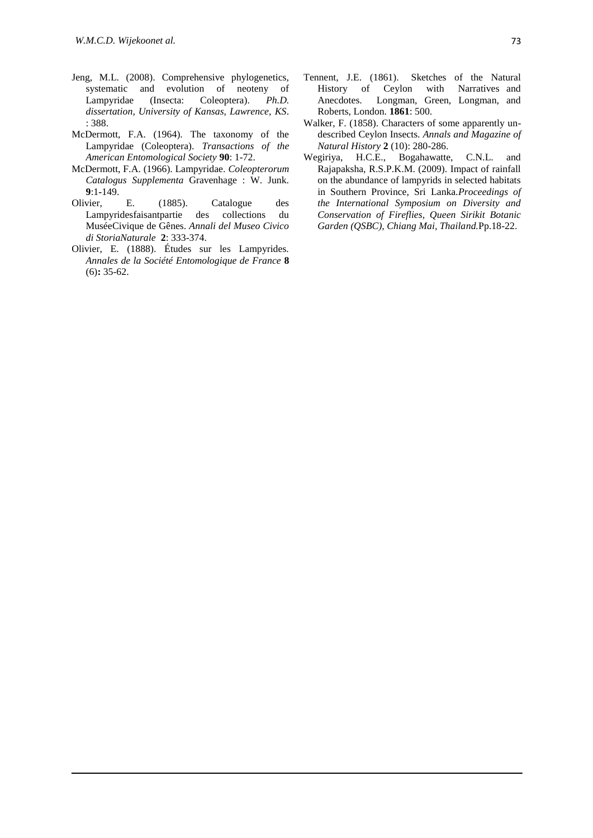- Jeng, M.L. (2008). Comprehensive phylogenetics, systematic and evolution of neoteny of Lampyridae (Insecta: Coleoptera). *Ph.D. dissertation, University of Kansas, Lawrence, KS*. : 388.
- McDermott, F.A. (1964). The taxonomy of the Lampyridae (Coleoptera). *Transactions of the American Entomological Society* **90**: 1-72.
- McDermott, F.A. (1966). Lampyridae. *Coleopterorum Catalogus Supplementa* Gravenhage : W. Junk. **9**:1**-**149.
- Olivier, E. (1885). Catalogue des Lampyridesfaisantpartie des collections du MuséeCivique de Gênes. *Annali del Museo Civico di StoriaNaturale* **2**: 333-374.
- Olivier, E. (1888). Études sur les Lampyrides. *Annales de la Société Entomologique de France* **8**  (6)**:** 35-62.
- Tennent, J.E. (1861). Sketches of the Natural History of Ceylon with Narratives and Anecdotes. Longman, Green, Longman, and Roberts, London. **1861**: 500.
- Walker, F. (1858). Characters of some apparently undescribed Ceylon Insects. *Annals and Magazine of Natural History* **2** (10): 280-286.
- Wegiriya, H.C.E., Bogahawatte, C.N.L. and Rajapaksha, R.S.P.K.M. (2009). Impact of rainfall on the abundance of lampyrids in selected habitats in Southern Province, Sri Lanka.*Proceedings of the International Symposium on Diversity and Conservation of Fireflies, Queen Sirikit Botanic Garden (QSBC), Chiang Mai, Thailand.*Pp.18-22.